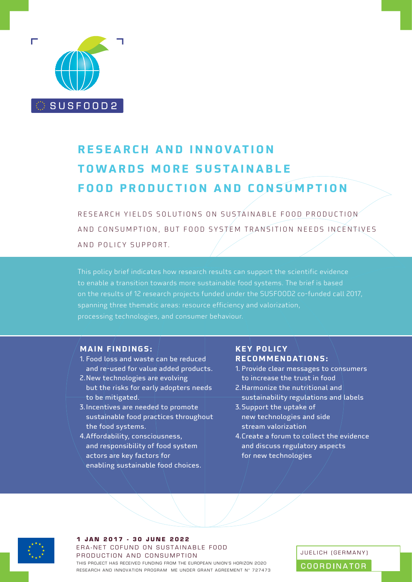

# **RESEARCH AND INNOVATION TOWARDS MORE SUSTAINABLE FOOD PRODUCTION AND CONSUMPTION**

RESEARCH YIELDS SOLUTIONS ON SUSTAINABLE FOOD PRODUCTION AND CONSUMPTION, BUT FOOD SYSTEM TRANSITION NEEDS INCENTIVES AND POLICY SUPPORT.

This policy brief indicates how research results can support the scientific evidence on the results of 12 research projects funded under the SUSFOOD2 co-funded call 2017, processing technologies, and consumer behaviour.

#### **MAIN FINDINGS:**

- 1. Food loss and waste can be reduced and re-used for value added products.
- 2.New technologies are evolving but the risks for early adopters needs to be mitigated.
- 3.Incentives are needed to promote sustainable food practices throughout the food systems.
- 4.Affordability, consciousness, and responsibility of food system actors are key factors for enabling sustainable food choices.

## **KEY POLICY RECOMMENDATIONS:**

- 1. Provide clear messages to consumers to increase the trust in food
- 2.Harmonize the nutritional and sustainability regulations and labels
- 3.Support the uptake of new technologies and side stream valorization
- 4.Create a forum to collect the evidence and discuss regulatory aspects for new technologies



#### **1 JAN 2017 - 30 JUNE 2022** ERA-NET COFUND ON SUSTAINABLE FOOD PRODUCTION AND CONSUMPTION THIS PROJECT HAS RECEIVED FUNDING FROM THE EUROPEAN UNION'S HORIZON 2020 THIS PROJECT HAS RECEIVED FUNDING FROM THE EUROPEAN UNION'S HORIZON 2020<br>RESEARCH AND INNOVATION PROGRAM ME UNDER GRANT AGREEMENT N° 727473

JUELICH (GERMANY)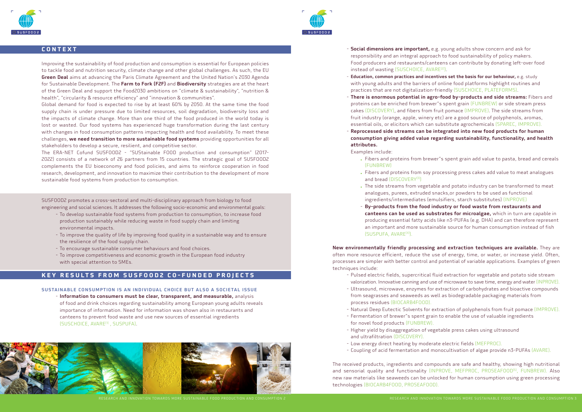



### **CONTEXT**

Improving the sustainability of food production and consumption is essential for European policies to tackle food and nutrition security, climate change and other global challenges. As such, the EU **Green Deal** aims at advancing the Paris Climate Agreement and the United Nation's 2030 Agenda for Sustainable Development. The Farm to Fork (F2F) and Biodiversity strategies are at the heart of the Green Deal and support the Food2030 ambitions on "climate & sustainability", "nutrition & health", "circularity & resource efficiency" and "innovation & communities".

Global demand for food is expected to rise by at least 60% by 2050. At the same time the food supply chain is under pressure due to limited resources, soil degradation, biodiversity loss and the impacts of climate change. More than one third of the food produced in the world today is lost or wasted. Our food systems has experienced huge transformation during the last century with changes in food consumption patterns impacting health and food availability. To meet these challenges, we need transition to more sustainable food systems providing opportunities for all stakeholders to develop a secure, resilient, and competitive sector.

The ERA-NET Cofund SUSFOOD2 - "SUStainable FOOD production and consumption" (2017- 2022) consists of a network of 26 partners from 15 countries. The strategic goal of SUSFOOD2 complements the EU bioeconomy and food policies, and aims to reinforce cooperation in food research, development, and innovation to maximize their contribution to the development of more sustainable food systems from production to consumption.

SUSFOOD2 promotes a cross-sectoral and multi-disciplinary approach from biology to food engineering and social sciences. It addresses the following socio-economic and environmental goals:

- Social dimensions are important, e.g. young adults show concern and ask for responsibility and an integral approach to food sustainability of policy makers. Food producers and restaurants/canteens can contribute by donating left-over food instead of wasting (SUSCHOICE, AVARE<sup>[2]</sup>).
- Education, common practices and incentives set the basis for our behaviour, e.g. study with young adults and the barriers of online food platforms highlight routines and practices that are not digitalization-friendly (SUSCHOICE, PLATEFORMS).
- There is enormous potential in agro-food by-products and side streams: Fibers and proteins can be enriched from brewer"s spent grain (FUNBREW) or side stream press cakes (DISCOVERY), and fibers from fruit pomace (IMPROVE). The side streams from fruit industry (orange, apple, winery etc) are a good source of polyphenols, aromas, essential oils, or elicitors which can substitute agrochemicals (SPAREC, IMPROVE).
- Reprocessed side streams can be integrated into new food products for human consumption giving added value regarding sustainability, functionality, and health attributes.

- . Fibers and proteins from brewer"s spent grain add value to pasta, bread and cereals (FUNBREW)
- . Fibers and proteins from soy processing press cakes add value to meat analogues and bread (DISCOVERY<sup>[3]</sup>)
- . The side streams from vegetable and potato industry can be transformed to meat analogues, purees, extruded snacks,or powders to be used as functional ingredients/intermediates (emulsifiers, starch substitutes) (INPROVE)
- By-products from the food industry or food waste from restaurants and canteens can be used as substrates for microalgae, which in turn are capable in producing essential fatty acids like n3-PUFAs (e.g. DHA) and can therefore represent an important and more sustainable source for human consumption instead of fish (SUSPUFA, AVARE<sup>[4]</sup>).

- To develop sustainable food systems from production to consumption, to increase food production sustainably while reducing waste in food supply chain and limiting environmental impacts.
- To improve the quality of life by improving food quality in a sustainable way and to ensure the resilience of the food supply chain.
- To encourage sustainable consumer behaviours and food choices.
- To improve competitiveness and economic growth in the European food industry with special attention to SMEs.

### **KEY RESULTS FROM SUSFOOD2 CO-FUNDED PROJECTS**

#### SUSTAINABLE CONSUMPTION IS AN INDIVIDUAL CHOICE BUT ALSO A SOCIETAL ISSUE

- Information to consumers must be clear, transparent, and measurable, analysis of food and drink choices regarding sustainability among European young adults reveals importance of information. Need for information was shown also in restaurants and canteens to prevent food waste and use new sources of essential ingredients (SUSCHOICE, AVARE[1] , SUSPUFA).



#### Examples include:

New environmentally friendly processing and extraction techniques are available. They are often more resource efficient, reduce the use of energy, time, or water, or increase yield. Often, processes are simpler with better control and potential of variable applications. Examples of green

techniques include:

- valorization. Innovative canning and use of microwave to save time, energy and water(INPROVE). from seagrasses and seaweeds as well as biodegradable packaging materials from
- Pulsed electric fields, supercritical fluid extraction for vegetable and potato side stream - Ultrasound, microwave, enzymes for extraction of carbohydrates and bioactive compounds process residues (BIOCARB4FOOD).
- Natural Deep Eutectic Solvents for extraction of polyphenols from fruit pomace (IMPROVE). - Fermentation of brewer"s spent grain to enable the use of valuable ingredients
- for novel food products (FUNBREW).
- Higher yield by disaggregation of vegetable press cakes using ultrasound and ultrafiltration (DISCOVERY).
- Low energy direct heating by moderate electric fields (MEFPROC). - Coupling of acid fermentation and monocultivation of algae provide n3-PUFAs (AVARE).
- 

The received products, ingredients and compounds are safe and healthy, showing high nutritional and sensorial quality and functionality (INPROVE, MEFPROC, PROSEAFOOD<sup>[5]</sup>, FUNBREW). Also new raw materials like seaweeds can be unlocked for human consumption using green processing

technologies (BIOCARB4FOOD, PROSEAFOOD).